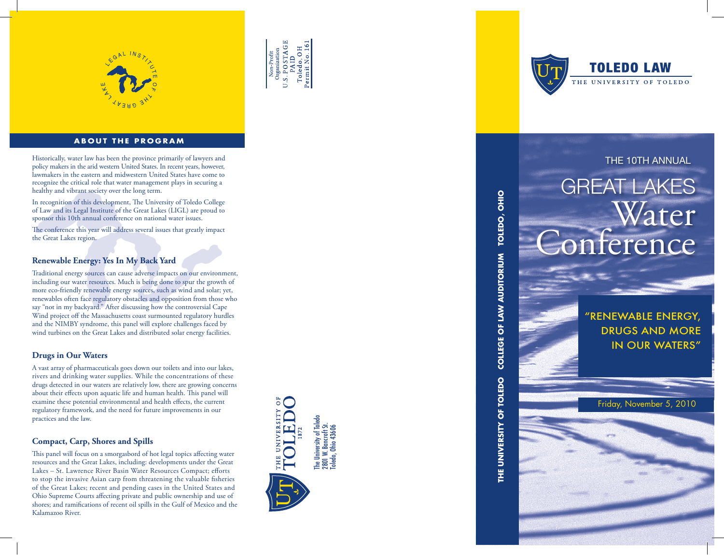

### **ABOUT THE PROGRAM**

Historically, water law has been the province primarily of lawyers and **THE 10TH ANNUAL** policy makers in the arid western United States. In recent years, however, lawmakers in the eastern and midwestern United States have come to recognize the critical role that water management plays in securing a healthy and vibrant society over the long term.

In recognition of this development, The University of Toledo College of Law and its Legal Institute of the Great Lakes (LIGL) are proud to sponsor this 10th annual conference on national water issues.

The conference this year will address several issues that greatly impact the Great Lakes region.

#### **Renewable Energy: Yes In My Back Yard**

Traditional energy sources can cause adverse impacts on our environment, including our water resources. Much is being done to spur the growth of more eco-friendly renewable energy sources, such as wind and solar; yet, renewables often face regulatory obstacles and opposition from those who say "not in my backyard." After discussing how the controversial Cape Wind project off the Massachusetts coast surmounted regulatory hurdles and the NIMBY syndrome, this panel will explore challenges faced by wind turbines on the Great Lakes and distributed solar energy facilities.

#### **Drugs in Our Waters**

A vast array of pharmaceuticals goes down our toilets and into our lakes, rivers and drinking water supplies. While the concentrations of these drugs detected in our waters are relatively low, there are growing concerns about their effects upon aquatic life and human health. This panel will examine these potential environmental and health effects, the current regulatory framework, and the need for future improvements in our practices and the law.

#### **Compact, Carp, Shores and Spills**

This panel will focus on a smorgasbord of hot legal topics affecting water resources and the Great Lakes, including: developments under the Great Lakes – St. Lawrence River Basin Water Resources Compact; efforts to stop the invasive Asian carp from threatening the valuable fisheries of the Great Lakes; recent and pending cases in the United States and Ohio Supreme Courts affecting private and public ownership and use of shores; and ramifications of recent oil spills in the Gulf of Mexico and the Kalamazoo River.



**U.S. POSTAGE** Toledo, OH<br>Permit No. 16

Non-Profit<br>Organization



## GREAT LAKES Water Conference

**THE UNIVERSITY OF TOLEDO COLLEGE OF LAW AUDITORIUM TOLEDO, OHIO**

THE UNIVERSITY OF TOLEDO

COLLEGE OF LAW AUDITORIUM TOLEDO, OHIO

"Renewable Energy, Drugs and More in Our Waters"

Friday, November 5, 2010